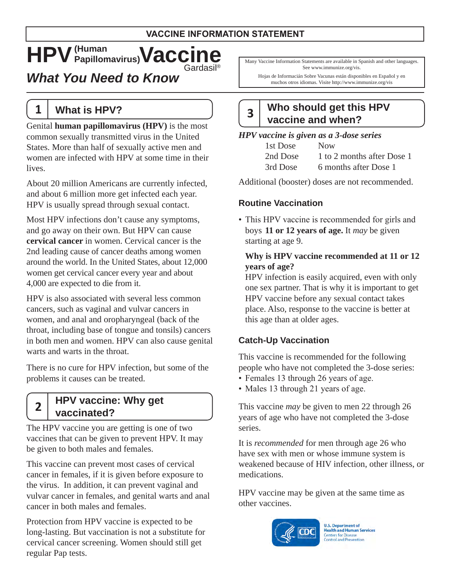# $HPV$  (Human Papillomavirus) **Vaccine**

*What You Need to Know* 

### **1 What is HPV?**

Genital **human papillomavirus (HPV)** is the most common sexually transmitted virus in the United States. More than half of sexually active men and women are infected with HPV at some time in their lives.

About 20 million Americans are currently infected, and about 6 million more get infected each year. HPV is usually spread through sexual contact.

 2nd leading cause of cancer deaths among women 4,000 are expected to die from it. Most HPV infections don't cause any symptoms, and go away on their own. But HPV can cause **cervical cancer** in women. Cervical cancer is the around the world. In the United States, about 12,000 women get cervical cancer every year and about

HPV is also associated with several less common cancers, such as vaginal and vulvar cancers in women, and anal and oropharyngeal (back of the throat, including base of tongue and tonsils) cancers in both men and women. HPV can also cause genital warts and warts in the throat.

There is no cure for HPV infection, but some of the problems it causes can be treated.

### **HPV vaccine: Why get <sup>2</sup> vaccinated?**

The HPV vaccine you are getting is one of two vaccines that can be given to prevent HPV. It may be given to both males and females.

This vaccine can prevent most cases of cervical cancer in females, if it is given before exposure to the virus. In addition, it can prevent vaginal and vulvar cancer in females, and genital warts and anal cancer in both males and females.

Protection from HPV vaccine is expected to be long-lasting. But vaccination is not a substitute for cervical cancer screening. Women should still get regular Pap tests.

Many Vaccine Information Statements are available in Spanish and other languages. See www.immunize.org/vis.

Hojas de Informacián Sobre Vacunas están disponibles en Español y en muchos otros idiomas. Visite http://www.immunize.org/vis

# **Who should get this HPV <sup>3</sup> vaccine and when?**

#### *HPV vaccine is given as a 3-dose series*

| 1st Dose | <b>Now</b>                 |
|----------|----------------------------|
| 2nd Dose | 1 to 2 months after Dose 1 |
| 3rd Dose | 6 months after Dose 1      |

Additional (booster) doses are not recommended.

#### **Routine Vaccination**

• This HPV vaccine is recommended for girls and boys **11 or 12 years of age.** It *may* be given starting at age 9.

#### **Why is HPV vaccine recommended at 11 or 12 years of age?**

HPV infection is easily acquired, even with only one sex partner. That is why it is important to get HPV vaccine before any sexual contact takes place. Also, response to the vaccine is better at this age than at older ages.

#### **Catch-Up Vaccination**

This vaccine is recommended for the following people who have not completed the 3-dose series:

- Females 13 through 26 years of age.
- Males 13 through 21 years of age.

This vaccine *may* be given to men 22 through 26 years of age who have not completed the 3-dose series.

It is *recommended* for men through age 26 who have sex with men or whose immune system is weakened because of HIV infection, other illness, or medications.

HPV vaccine may be given at the same time as other vaccines.